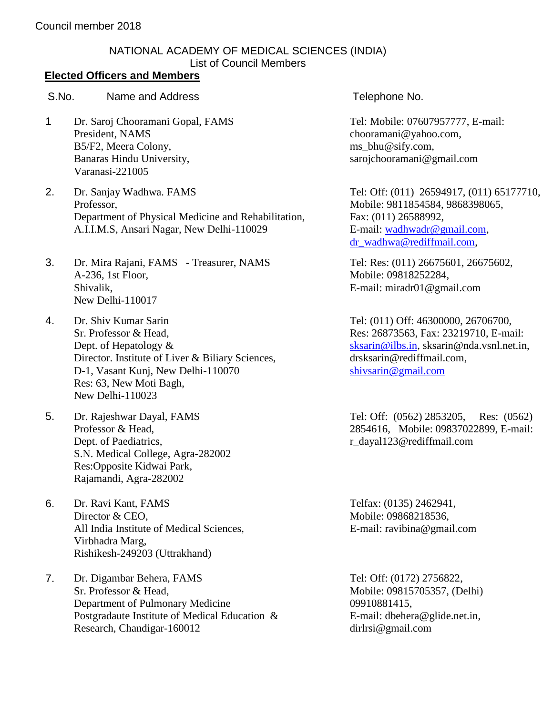## NATIONAL ACADEMY OF MEDICAL SCIENCES (INDIA) List of Council Members

## **Elected Officers and Members**

## S.No. Name and Address S.No. Telephone No.

- 1 Dr. Saroj Chooramani Gopal, FAMS President, NAMS B5/F2, Meera Colony, Banaras Hindu University, Varanasi-221005
- 2. Dr. Sanjay Wadhwa. FAMS Professor, Department of Physical Medicine and Rehabilitation, A.I.I.M.S, Ansari Nagar, New Delhi-110029
- 3. Dr. Mira Rajani, FAMS Treasurer, NAMS A-236, 1st Floor, Shivalik, New Delhi-110017
- 4. Dr. Shiv Kumar Sarin Sr. Professor & Head, Dept. of Hepatology & Director. Institute of Liver & Biliary Sciences, D-1, Vasant Kunj, New Delhi-110070 Res: 63, New Moti Bagh, New Delhi-110023
- 5. Dr. Rajeshwar Dayal, FAMS Professor & Head, Dept. of Paediatrics, S.N. Medical College, Agra-282002 Res:Opposite Kidwai Park, Rajamandi, Agra-282002
- 6. Dr. Ravi Kant, FAMS Director & CEO, All India Institute of Medical Sciences, Virbhadra Marg, Rishikesh-249203 (Uttrakhand)
- 7. Dr. Digambar Behera, FAMS Sr. Professor & Head, Department of Pulmonary Medicine Postgradaute Institute of Medical Education & Research, Chandigar-160012

Tel: Mobile: 07607957777, E-mail: [chooramani@yahoo.com,](mailto:chooramani@yahoo.com) [ms\\_bhu@sify.com,](mailto:ms_bhu@sify.com) sarojchooramani@gmail.com

Tel: Off: (011) 26594917, (011) 65177710, Mobile: 9811854584, 9868398065, Fax: (011) 26588992, E-mail: [wadhwadr@gmail.com,](mailto:wadhwadr@gmail.com) [dr\\_wadhwa@rediffmail.com,](mailto:dr_wadhwa@rediffmail.com)

Tel: Res: (011) 26675601, 26675602, Mobile: 09818252284, E-mail: miradr01@gmail.com

Tel: (011) Off: 46300000, 26706700, Res: 26873563, Fax: 23219710, E-mail: [sksarin@ilbs.in,](mailto:sksarin@ilbs.in) [sksarin@nda.vsnl.net.in,](mailto:sksarin@nda.vsnl.net.in) [drsksarin@rediffmail.com,](mailto:drsksarin@rediffmail.com) [shivsarin@gmail.com](mailto:shivsarin@gmail.com)

Tel: Off: (0562) 2853205, Res: (0562) 2854616, Mobile: 09837022899, E-mail: r\_dayal123@rediffmail.com

Telfax: (0135) 2462941, Mobile: 09868218536, E-mail: [ravibina@gmail.com](mailto:ravibina@gmail.com)

Tel: Off: (0172) 2756822, Mobile: 09815705357, (Delhi) 09910881415, E-mail: [dbehera@glide.net.in,](mailto:dbehera@glide.net.in) dirlrsi@gmail.com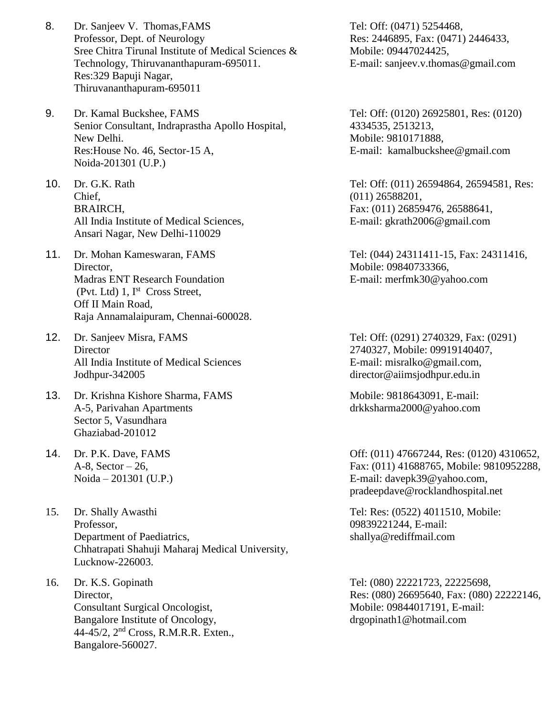- 8. Dr. Sanjeev V. Thomas,FAMS Professor, Dept. of Neurology Sree Chitra Tirunal Institute of Medical Sciences & Technology, Thiruvananthapuram-695011. Res:329 Bapuji Nagar, Thiruvananthapuram-695011
- 9. Dr. Kamal Buckshee, FAMS Senior Consultant, Indraprastha Apollo Hospital, New Delhi. Res:House No. 46, Sector-15 A, Noida-201301 (U.P.)
- 10. Dr. G.K. Rath Chief, BRAIRCH, All India Institute of Medical Sciences, Ansari Nagar, New Delhi-110029
- 11. Dr. Mohan Kameswaran, FAMS Director, Madras ENT Research Foundation (Pvt. Ltd) 1, I<sup>st</sup> Cross Street, Off II Main Road, Raja Annamalaipuram, Chennai-600028.
- 12. Dr. Sanjeev Misra, FAMS **Director** All India Institute of Medical Sciences Jodhpur-342005
- 13. Dr. Krishna Kishore Sharma, FAMS A-5, Parivahan Apartments Sector 5, Vasundhara Ghaziabad-201012
- 14. Dr. P.K. Dave, FAMS A-8, Sector  $-26$ , Noida – 201301 (U.P.)
- 15. Dr. Shally Awasthi Professor, Department of Paediatrics, Chhatrapati Shahuji Maharaj Medical University, Lucknow-226003.
- 16. Dr. K.S. Gopinath Director, Consultant Surgical Oncologist, Bangalore Institute of Oncology, 44-45/2, 2nd Cross, R.M.R.R. Exten., Bangalore-560027.

Tel: Off: (0471) 5254468, Res: 2446895, Fax: (0471) 2446433, Mobile: [09447024425,](mailto:09447024425) E-mail: [sanjeev.v.thomas@gmail.com](mailto:sanjeev.v.thomas@gmail.com)

## Tel: Off: (0120) 26925801, Res: (0120) 4334535, 2513213, Mobile: 9810171888, E-mail: [kamalbuckshee@gmail.com](mailto:kamalbuckshee@gmail.com)

Tel: Off: (011) 26594864, 26594581, Res: (011) 26588201, Fax: (011) 26859476, 26588641, E-mail: gkrath2006@gmail.com

Tel: (044) 24311411-15, Fax: 24311416, Mobile: 09840733366, E-mail: [merfmk30@yahoo.com](mailto:merfmk30@yahoo.com)

Tel: Off: (0291) 2740329, Fax: (0291) 2740327, Mobile: 09919140407, E-mail: [misralko@gmail.com,](mailto:misralko@gmail.com,) director@aiimsjodhpur.edu.in

Mobile: 9818643091, E-mail: [drkksharma2000@yahoo.com](mailto:drkksharma2000@yahoo.com)

Off: (011) 47667244, Res: (0120) 4310652, Fax: (011) 41688765, Mobile: 9810952288, E-mail: [davepk39@yahoo.com,](mailto:rocklandhospital@yahoo.co.in) [pradeepdave@rocklandhospital.net](mailto:pradeepdave@rocklandhospital.net)

Tel: Res: (0522) 4011510, Mobile: 09839221244, E-mail: [shallya@rediffmail.com](mailto:shallya@rediffmail.com)

Tel: (080) 22221723, 22225698, Res: (080) 26695640, Fax: (080) 22222146, Mobile: 09844017191, E-mail: [drgopinath1@hotmail.com](mailto:drgopinath1@hotmail.com)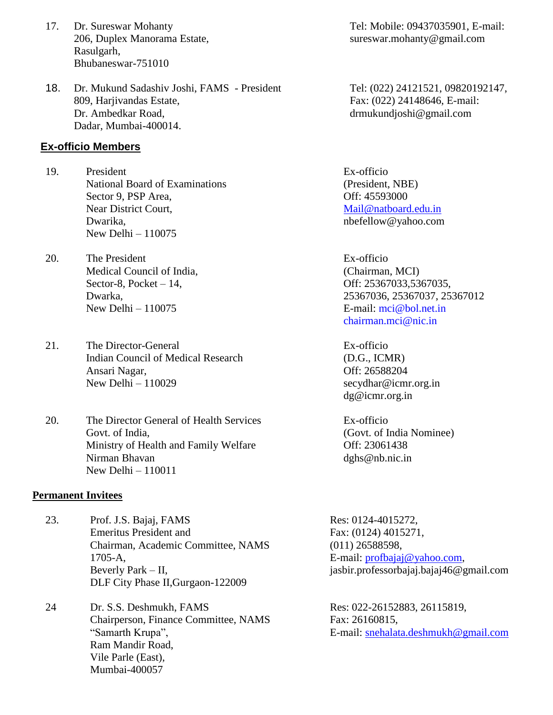- 17. Dr. Sureswar Mohanty 206, Duplex Manorama Estate, Rasulgarh, Bhubaneswar-751010
- 18. Dr. Mukund Sadashiv Joshi, FAMS President 809, Harjivandas Estate, Dr. Ambedkar Road, Dadar, Mumbai-400014.

#### **Ex-officio Members**

- 19. President National Board of Examinations Sector 9, PSP Area, Near District Court, Dwarika, New Delhi – 110075
- 20. The President Medical Council of India, Sector-8, Pocket – 14, Dwarka, New Delhi – 110075
- 21. The Director-General Indian Council of Medical Research Ansari Nagar, New Delhi – 110029
- 20. The Director General of Health Services Govt. of India, Ministry of Health and Family Welfare Nirman Bhavan New Delhi – 110011

#### **Permanent Invitees**

23. Prof. J.S. Bajaj, FAMS Emeritus President and Chairman, Academic Committee, NAMS 1705-A, Beverly Park – II, DLF City Phase II,Gurgaon-122009

24 Dr. S.S. Deshmukh, FAMS Chairperson, Finance Committee, NAMS "Samarth Krupa", Ram Mandir Road, Vile Parle (East), Mumbai-400057

Tel: Mobile: 09437035901, E-mail: [sureswar.mohanty@gmail.com](mailto:sureswar.mohanty@gmail.com)

Tel: (022) 24121521, 09820192147, Fax: (022) 24148646, E-mail: drmukundjoshi@gmail.com

Ex-officio (President, NBE) Off: 45593000 [Mail@natboard.edu.in](mailto:Mail@natboard.edu.in) [nbefellow@yahoo.com](mailto:nbefellow@yahoo.com)

Ex-officio (Chairman, MCI) Off: 25367033,5367035, 25367036, 25367037, 25367012 E-mail: [mci@bol.net.in](mailto:mci@bol.net.in) [chairman.mci@nic.in](mailto:chairman.mci@nic.in)

Ex-officio (D.G., ICMR) Off: 26588204 [secydhar@icmr.org.in](mailto:secydhar@icmr.org.in) dg@icmr.org.in

Ex-officio (Govt. of India Nominee) Off: 23061438 dghs@nb.nic.in

Res: 0124-4015272, Fax: (0124) 4015271, (011) 26588598, E-mail: [profbajaj@yahoo.com,](mailto:profbajaj@yahoo.com) jasbir.professorbajaj.bajaj46@gmail.com

Res: 022-26152883, 26115819, Fax: 26160815, E-mail: [snehalata.deshmukh@gmail.com](mailto:snehalata.deshmukh@gmail.com)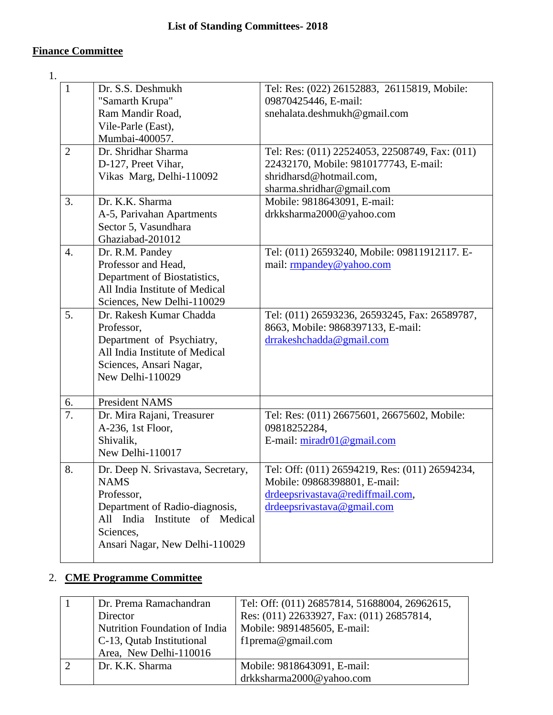## **Finance Committee**

1.

| $\mathbf{1}$   | Dr. S.S. Deshmukh                    | Tel: Res: (022) 26152883, 26115819, Mobile:    |
|----------------|--------------------------------------|------------------------------------------------|
|                | "Samarth Krupa"                      | 09870425446, E-mail:                           |
|                | Ram Mandir Road,                     | snehalata.deshmukh@gmail.com                   |
|                | Vile-Parle (East),                   |                                                |
|                | Mumbai-400057.                       |                                                |
| $\overline{2}$ | Dr. Shridhar Sharma                  | Tel: Res: (011) 22524053, 22508749, Fax: (011) |
|                | D-127, Preet Vihar,                  | 22432170, Mobile: 9810177743, E-mail:          |
|                | Vikas Marg, Delhi-110092             | shridharsd@hotmail.com,                        |
|                |                                      | sharma.shridhar@gmail.com                      |
| 3.             | Dr. K.K. Sharma                      | Mobile: 9818643091, E-mail:                    |
|                | A-5, Parivahan Apartments            | drkksharma2000@yahoo.com                       |
|                | Sector 5, Vasundhara                 |                                                |
|                | Ghaziabad-201012                     |                                                |
| 4.             | Dr. R.M. Pandey                      | Tel: (011) 26593240, Mobile: 09811912117. E-   |
|                | Professor and Head,                  | mail: rmpandey@yahoo.com                       |
|                | Department of Biostatistics,         |                                                |
|                | All India Institute of Medical       |                                                |
|                |                                      |                                                |
| 5.             | Sciences, New Delhi-110029           |                                                |
|                | Dr. Rakesh Kumar Chadda              | Tel: (011) 26593236, 26593245, Fax: 26589787,  |
|                | Professor,                           | 8663, Mobile: 9868397133, E-mail:              |
|                | Department of Psychiatry,            | drrakeshchadda@gmail.com                       |
|                | All India Institute of Medical       |                                                |
|                | Sciences, Ansari Nagar,              |                                                |
|                | New Delhi-110029                     |                                                |
|                |                                      |                                                |
| 6.             | <b>President NAMS</b>                |                                                |
| 7.             | Dr. Mira Rajani, Treasurer           | Tel: Res: (011) 26675601, 26675602, Mobile:    |
|                | A-236, 1st Floor,                    | 09818252284,                                   |
|                | Shivalik,                            | E-mail: $miradr01@gmail.com$                   |
|                | New Delhi-110017                     |                                                |
| 8.             | Dr. Deep N. Srivastava, Secretary,   | Tel: Off: (011) 26594219, Res: (011) 26594234, |
|                | <b>NAMS</b>                          | Mobile: 09868398801, E-mail:                   |
|                | Professor,                           | drdeepsrivastava@rediffmail.com,               |
|                | Department of Radio-diagnosis,       | drdeepsrivastava@gmail.com                     |
|                |                                      |                                                |
|                | India<br>All<br>Institute of Medical |                                                |
|                | Sciences,                            |                                                |
|                | Ansari Nagar, New Delhi-110029       |                                                |
|                |                                      |                                                |

# 2. **CME Programme Committee**

| Dr. Prema Ramachandran        | Tel: Off: (011) 26857814, 51688004, 26962615, |
|-------------------------------|-----------------------------------------------|
| Director                      | Res: (011) 22633927, Fax: (011) 26857814,     |
| Nutrition Foundation of India | Mobile: 9891485605, E-mail:                   |
| C-13, Qutab Institutional     | f1prema@gmail.com                             |
| Area, New Delhi-110016        |                                               |
| Dr. K.K. Sharma               | Mobile: 9818643091, E-mail:                   |
|                               | drkksharma2000@yahoo.com                      |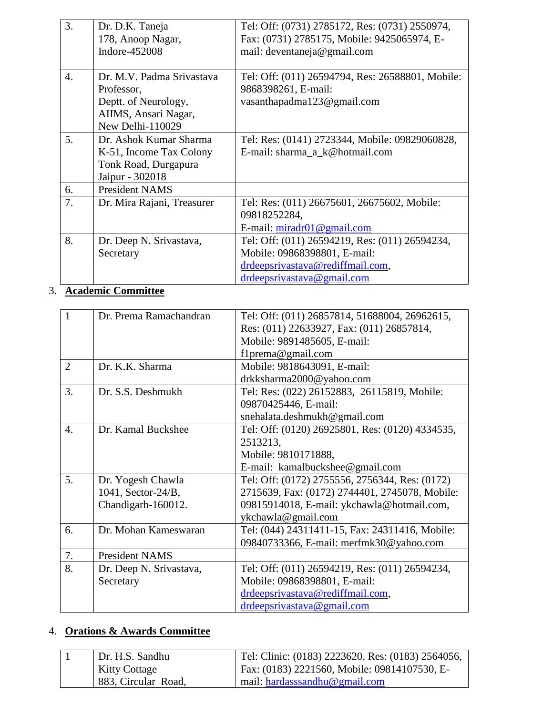| 3. | Dr. D.K. Taneja            | Tel: Off: (0731) 2785172, Res: (0731) 2550974,   |
|----|----------------------------|--------------------------------------------------|
|    | 178, Anoop Nagar,          | Fax: (0731) 2785175, Mobile: 9425065974, E-      |
|    | Indore-452008              | mail: deventaneja@gmail.com                      |
|    |                            |                                                  |
| 4. | Dr. M.V. Padma Srivastava  | Tel: Off: (011) 26594794, Res: 26588801, Mobile: |
|    | Professor,                 | 9868398261, E-mail:                              |
|    | Deptt. of Neurology,       | vasanthapadma123@gmail.com                       |
|    | AIIMS, Ansari Nagar,       |                                                  |
|    | New Delhi-110029           |                                                  |
| 5. | Dr. Ashok Kumar Sharma     | Tel: Res: (0141) 2723344, Mobile: 09829060828,   |
|    | K-51, Income Tax Colony    | E-mail: sharma_a_k@hotmail.com                   |
|    | Tonk Road, Durgapura       |                                                  |
|    | Jaipur - 302018            |                                                  |
| 6. | <b>President NAMS</b>      |                                                  |
| 7. | Dr. Mira Rajani, Treasurer | Tel: Res: (011) 26675601, 26675602, Mobile:      |
|    |                            | 09818252284,                                     |
|    |                            | E-mail: $minadr01@gmail.com$                     |
| 8. | Dr. Deep N. Srivastava,    | Tel: Off: (011) 26594219, Res: (011) 26594234,   |
|    | Secretary                  | Mobile: 09868398801, E-mail:                     |
|    |                            | drdeepsrivastava@rediffmail.com,                 |
|    |                            | drdeepsrivastava@gmail.com                       |

# 3. **Academic Committee**

| $\mathbf{1}$     | Dr. Prema Ramachandran  | Tel: Off: (011) 26857814, 51688004, 26962615,   |
|------------------|-------------------------|-------------------------------------------------|
|                  |                         | Res: (011) 22633927, Fax: (011) 26857814,       |
|                  |                         | Mobile: 9891485605, E-mail:                     |
|                  |                         | f1prema@gmail.com                               |
| $\overline{2}$   | Dr. K.K. Sharma         | Mobile: 9818643091, E-mail:                     |
|                  |                         | drkksharma2000@yahoo.com                        |
| 3.               | Dr. S.S. Deshmukh       | Tel: Res: (022) 26152883, 26115819, Mobile:     |
|                  |                         | 09870425446, E-mail:                            |
|                  |                         | snehalata.deshmukh@gmail.com                    |
| $\overline{4}$ . | Dr. Kamal Buckshee      | Tel: Off: (0120) 26925801, Res: (0120) 4334535, |
|                  |                         | 2513213,                                        |
|                  |                         | Mobile: 9810171888,                             |
|                  |                         | E-mail: kamalbuckshee@gmail.com                 |
| 5.               | Dr. Yogesh Chawla       | Tel: Off: (0172) 2755556, 2756344, Res: (0172)  |
|                  | $1041$ , Sector-24/B,   | 2715639, Fax: (0172) 2744401, 2745078, Mobile:  |
|                  | Chandigarh-160012.      | 09815914018, E-mail: ykchawla@hotmail.com,      |
|                  |                         | ykchawla@gmail.com                              |
| 6.               | Dr. Mohan Kameswaran    | Tel: (044) 24311411-15, Fax: 24311416, Mobile:  |
|                  |                         | 09840733366, E-mail: merfmk30@yahoo.com         |
| 7.               | <b>President NAMS</b>   |                                                 |
| 8.               | Dr. Deep N. Srivastava, | Tel: Off: (011) 26594219, Res: (011) 26594234,  |
|                  | Secretary               | Mobile: 09868398801, E-mail:                    |
|                  |                         | drdeepsrivastava@rediffmail.com,                |
|                  |                         | drdeepsrivastava@gmail.com                      |

## 4. **Orations & Awards Committee**

| Dr. H.S. Sandhu      | Tel: Clinic: (0183) 2223620, Res: (0183) 2564056, |
|----------------------|---------------------------------------------------|
| <b>Kitty Cottage</b> | Fax: (0183) 2221560, Mobile: 09814107530, E-      |
| 883, Circular Road,  | mail: hardasssandhu@gmail.com                     |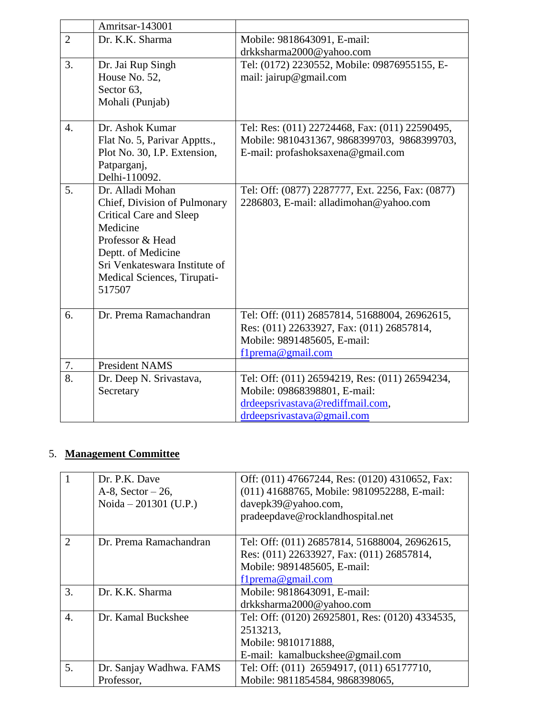|                  | Amritsar-143001               |                                                  |
|------------------|-------------------------------|--------------------------------------------------|
| $\overline{2}$   | Dr. K.K. Sharma               | Mobile: 9818643091, E-mail:                      |
|                  |                               | drkksharma2000@yahoo.com                         |
| 3.               | Dr. Jai Rup Singh             | Tel: (0172) 2230552, Mobile: 09876955155, E-     |
|                  | House No. 52,                 | mail: jairup@gmail.com                           |
|                  | Sector 63,                    |                                                  |
|                  | Mohali (Punjab)               |                                                  |
|                  |                               |                                                  |
| $\overline{4}$ . | Dr. Ashok Kumar               | Tel: Res: (011) 22724468, Fax: (011) 22590495,   |
|                  | Flat No. 5, Parivar Apptts.,  | Mobile: 9810431367, 9868399703, 9868399703,      |
|                  | Plot No. 30, I.P. Extension,  | E-mail: profashoksaxena@gmail.com                |
|                  | Patparganj,                   |                                                  |
|                  | Delhi-110092.                 |                                                  |
| 5.               | Dr. Alladi Mohan              | Tel: Off: (0877) 2287777, Ext. 2256, Fax: (0877) |
|                  | Chief, Division of Pulmonary  | 2286803, E-mail: alladimohan@yahoo.com           |
|                  | Critical Care and Sleep       |                                                  |
|                  | Medicine                      |                                                  |
|                  | Professor & Head              |                                                  |
|                  | Deptt. of Medicine            |                                                  |
|                  | Sri Venkateswara Institute of |                                                  |
|                  | Medical Sciences, Tirupati-   |                                                  |
|                  | 517507                        |                                                  |
|                  |                               |                                                  |
| 6.               | Dr. Prema Ramachandran        | Tel: Off: (011) 26857814, 51688004, 26962615,    |
|                  |                               | Res: (011) 22633927, Fax: (011) 26857814,        |
|                  |                               | Mobile: 9891485605, E-mail:                      |
|                  |                               | flprema@gmail.com                                |
| 7.               | <b>President NAMS</b>         |                                                  |
| 8.               | Dr. Deep N. Srivastava,       | Tel: Off: (011) 26594219, Res: (011) 26594234,   |
|                  | Secretary                     | Mobile: 09868398801, E-mail:                     |
|                  |                               | drdeepsrivastava@rediffmail.com,                 |
|                  |                               | drdeepsrivastava@gmail.com                       |

# 5. **Management Committee**

|                  | Dr. P.K. Dave<br>$A-8$ , Sector $-26$ ,<br>Noida $-201301$ (U.P.) | Off: (011) 47667244, Res: (0120) 4310652, Fax:<br>(011) 41688765, Mobile: 9810952288, E-mail:<br>davepk39@yahoo.com,<br>pradeepdave@rocklandhospital.net |
|------------------|-------------------------------------------------------------------|----------------------------------------------------------------------------------------------------------------------------------------------------------|
| $\overline{2}$   | Dr. Prema Ramachandran                                            | Tel: Off: (011) 26857814, 51688004, 26962615,<br>Res: (011) 22633927, Fax: (011) 26857814,<br>Mobile: 9891485605, E-mail:<br>f1prema@gmail.com           |
| 3.               | Dr. K.K. Sharma                                                   | Mobile: 9818643091, E-mail:<br>drkksharma2000@yahoo.com                                                                                                  |
| $\overline{4}$ . | Dr. Kamal Buckshee                                                | Tel: Off: (0120) 26925801, Res: (0120) 4334535,<br>2513213,<br>Mobile: 9810171888,<br>E-mail: kamalbuckshee@gmail.com                                    |
| 5.               | Dr. Sanjay Wadhwa. FAMS<br>Professor,                             | Tel: Off: (011) 26594917, (011) 65177710,<br>Mobile: 9811854584, 9868398065,                                                                             |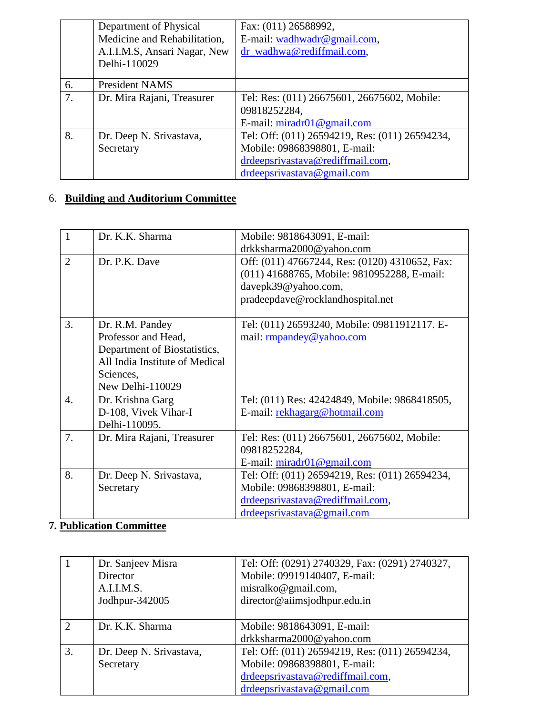|    | Department of Physical       | Fax: (011) 26588992,                           |
|----|------------------------------|------------------------------------------------|
|    | Medicine and Rehabilitation, | E-mail: wadhwadr@gmail.com,                    |
|    | A.I.I.M.S, Ansari Nagar, New | dr_wadhwa@rediffmail.com,                      |
|    | Delhi-110029                 |                                                |
| 6. | <b>President NAMS</b>        |                                                |
| 7. | Dr. Mira Rajani, Treasurer   | Tel: Res: (011) 26675601, 26675602, Mobile:    |
|    |                              | 09818252284,                                   |
|    |                              | E-mail: miradr01@gmail.com                     |
| 8. | Dr. Deep N. Srivastava,      | Tel: Off: (011) 26594219, Res: (011) 26594234, |
|    | Secretary                    | Mobile: 09868398801, E-mail:                   |
|    |                              | drdeepsrivastava@rediffmail.com,               |
|    |                              | drdeepsrivastava@gmail.com                     |

# 6. **Building and Auditorium Committee**

| 1                | Dr. K.K. Sharma                                                                                                                           | Mobile: 9818643091, E-mail:<br>drkksharma2000@yahoo.com                                                                                                  |
|------------------|-------------------------------------------------------------------------------------------------------------------------------------------|----------------------------------------------------------------------------------------------------------------------------------------------------------|
| $\overline{2}$   | Dr. P.K. Dave                                                                                                                             | Off: (011) 47667244, Res: (0120) 4310652, Fax:<br>(011) 41688765, Mobile: 9810952288, E-mail:<br>davepk39@yahoo.com,<br>pradeepdave@rocklandhospital.net |
| 3.               | Dr. R.M. Pandey<br>Professor and Head,<br>Department of Biostatistics,<br>All India Institute of Medical<br>Sciences,<br>New Delhi-110029 | Tel: (011) 26593240, Mobile: 09811912117. E-<br>mail: rmpandey@yahoo.com                                                                                 |
| $\overline{4}$ . | Dr. Krishna Garg<br>D-108, Vivek Vihar-I<br>Delhi-110095.                                                                                 | Tel: (011) Res: 42424849, Mobile: 9868418505,<br>E-mail: rekhagarg@hotmail.com                                                                           |
| 7.               | Dr. Mira Rajani, Treasurer                                                                                                                | Tel: Res: (011) 26675601, 26675602, Mobile:<br>09818252284,<br>E-mail: $miradr01@gmail.com$                                                              |
| 8.               | Dr. Deep N. Srivastava,<br>Secretary                                                                                                      | Tel: Off: (011) 26594219, Res: (011) 26594234,<br>Mobile: 09868398801, E-mail:<br>drdeepsrivastava@rediffmail.com,<br>drdeepsrivastava@gmail.com         |

# **7. Publication Committee**

|               | Dr. Sanjeev Misra<br>Director<br>A.I.I.M.S.<br>Jodhpur-342005 | Tel: Off: (0291) 2740329, Fax: (0291) 2740327,<br>Mobile: 09919140407, E-mail:<br>misralko@gmail.com,<br>director@aiimsjodhpur.edu.in |
|---------------|---------------------------------------------------------------|---------------------------------------------------------------------------------------------------------------------------------------|
| $\mathcal{D}$ | Dr. K.K. Sharma                                               | Mobile: 9818643091, E-mail:                                                                                                           |
|               |                                                               | drkksharma2000@yahoo.com                                                                                                              |
| 3.            | Dr. Deep N. Srivastava,                                       | Tel: Off: (011) 26594219, Res: (011) 26594234,                                                                                        |
|               | Secretary                                                     | Mobile: 09868398801, E-mail:                                                                                                          |
|               |                                                               | drdeepsrivastava@rediffmail.com,                                                                                                      |
|               |                                                               | drdeepsrivastava@gmail.com                                                                                                            |